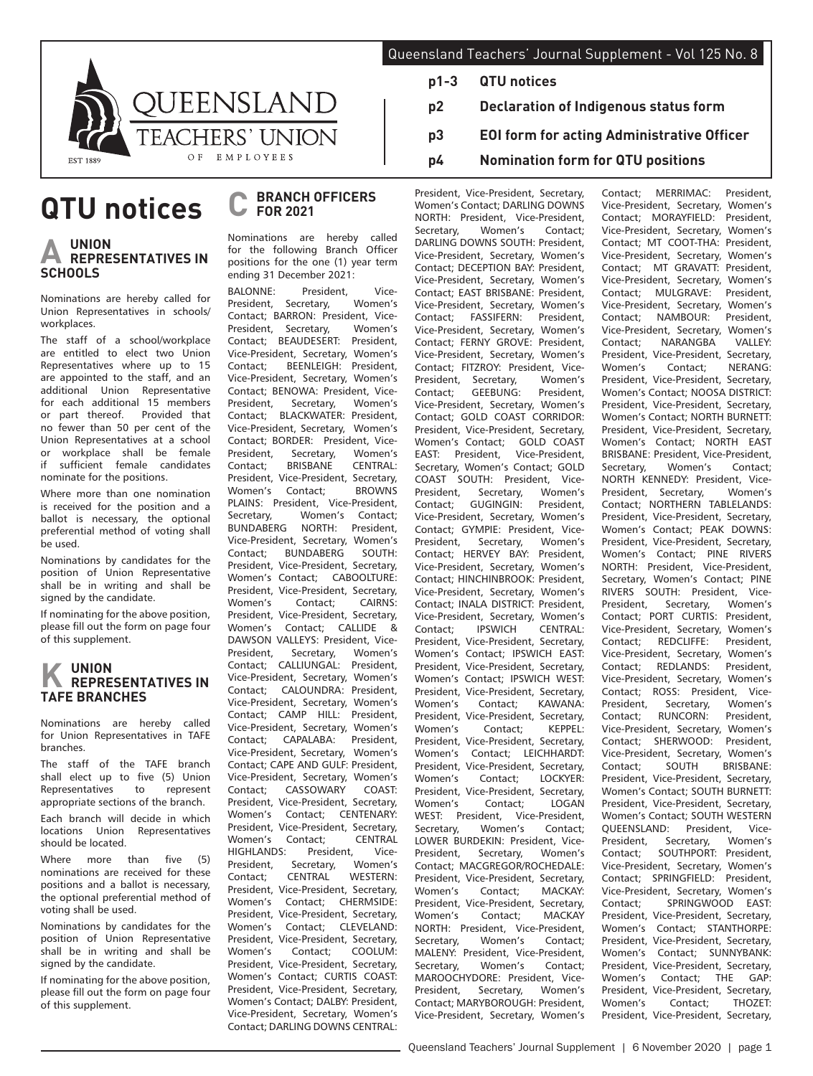

# **QTU notices**

## **A UNION REPRESENTATIVES IN SCHOOLS**

Nominations are hereby called for Union Representatives in schools/ workplaces.

The staff of a school/workplace are entitled to elect two Union Representatives where up to 15 are appointed to the staff, and an additional Union Representative for each additional 15 members<br>or part thereof. Provided that or part thereof. Provided that no fewer than 50 per cent of the Union Representatives at a school or workplace shall be female if sufficient female candidates nominate for the positions.

Where more than one nomination is received for the position and a ballot is necessary, the optional preferential method of voting shall be used.

Nominations by candidates for the position of Union Representative shall be in writing and shall be signed by the candidate.

If nominating for the above position, please fill out the form on page four of this supplement.

# **K UNION REPRESENTATIVES IN TAFE BRANCHES**

Nominations are hereby called for Union Representatives in TAFE branches.

The staff of the TAFE branch shall elect up to five (5) Union Representatives to represent appropriate sections of the branch.

Each branch will decide in which locations Union Representatives should be located.

Where more than five (5) nominations are received for these positions and a ballot is necessary, the optional preferential method of voting shall be used.

Nominations by candidates for the position of Union Representative shall be in writing and shall be signed by the candidate.

If nominating for the above position, please fill out the form on page four of this supplement.

#### **C BRANCH OFFICERS FOR 2021**

Nominations are hereby called for the following Branch Officer positions for the one (1) year term ending 31 December 2021:

BALONNE: President, Vice-<br>President, Secretary, Women's Secretary, Contact; BARRON: President, Vice-President, Secretary, Women's<br>Contact: BEAUDESERT: President Contact; BEAUDESERT: Vice-President, Secretary, Women's<br>Contact: BEENLEIGH: President BEENLEIGH: Vice-President, Secretary, Women's Contact; BENOWA: President, Vice-<br>President. Secretary. Women's Secretary, Contact; BLACKWATER: President, Vice-President, Secretary, Women's Contact; BORDER: President, Vice-President, Secretary, Women's<br>Contact; BRISBANE CENTRAL: Contact; BRISBANE President, Vice-President, Secretary,<br>Women's Contact: BROWNS Women's PLAINS: President, Vice-President,<br>Secretary, Women's Contact; Secretary, Women's Contact;<br>BUNDABERG NORTH: President, **BUNDABERG** Vice-President, Secretary, Women's<br>Contact: BUNDABERG SOUTH: BUNDABERG President, Vice-President, Secretary, Women's Contact; CABOOLTURE: President, Vice-President, Secretary,<br>Women's Contact: CAIRNS: Contact; President, Vice-President, Secretary, Women's Contact; CALLIDE & DAWSON VALLEYS: President, Vice-President, Secretary, Women's Contact; CALLIUNGAL: President, Vice-President, Secretary, Women's Contact; CALOUNDRA: President, Vice-President, Secretary, Women's Contact: CAMP HILL: President Vice-President, Secretary, Women's<br>Contact: CAPALABA: President. CAPALABA: Vice-President, Secretary, Women's Contact; CAPE AND GULF: President, Vice-President, Secretary, Women's<br>Contact: CASSOWARY COAST: Contact: CASSOWARY President, Vice-President, Secretary, Women's Contact; CENTENARY: President, Vice-President, Secretary, Women's Contact; CENTRAL HIGHLANDS: President, Vice-<br>President. Secretary. Women's Secretary, Contact: CENTRAL WESTERN: President, Vice-President, Secretary, Women's Contact; CHERMSIDE: President, Vice-President, Secretary, Women's Contact; CLEVELAND: President, Vice-President, Secretary, Women's Contact; COOLUM: President, Vice-President, Secretary, Women's Contact; CURTIS COAST: President, Vice-President, Secretary, Women's Contact; DALBY: President, Vice-President, Secretary, Women's Contact; DARLING DOWNS CENTRAL:

- Queensland Teachers' Journal Supplement Vol 125 No. 8
	- **p1-3 QTU notices**
	- **p2 Declaration of Indigenous status form**
	- **p3 EOI form for acting Administrative Officer**
	- **p4 Nomination form for QTU positions**

President, Vice-President, Secretary, Women's Contact; DARLING DOWNS NORTH: President, Vice-President, Secretary, DARLING DOWNS SOUTH: President, Vice-President, Secretary, Women's Contact; DECEPTION BAY: President, Vice-President, Secretary, Women's Contact; EAST BRISBANE: President, Vice-President, Secretary, Women's<br>Contact: FASSIFERN: President. Contact; FASSIFERN: Vice-President, Secretary, Women's Contact; FERNY GROVE: President, Vice-President, Secretary, Women's Contact; FITZROY: President, Vice-<br>President. Secretary. Women's President, Secretary, Women's<br>Contact: GEEBUNG: President Contact: GEEBUNG: Vice-President, Secretary, Women's Contact; GOLD COAST CORRIDOR: President, Vice-President, Secretary, Women's Contact; GOLD COAST EAST: President, Vice-President, Secretary, Women's Contact; GOLD COAST SOUTH: President, Vice-President, Secretary, Women's<br>Contact: GUGINGIN: President President. Vice-President, Secretary, Women's Contact; GYMPIE: President, Vice-President, Secretary, Women's Contact; HERVEY BAY: President, Vice-President, Secretary, Women's Contact; HINCHINBROOK: President, Vice-President, Secretary, Women's Contact; INALA DISTRICT: President, Vice-President, Secretary, Women's<br>Contact: IPSWICH CENTRAL:  $CENTRAI$ President, Vice-President, Secretary, Women's Contact; IPSWICH EAST: President, Vice-President, Secretary, Women's Contact; IPSWICH WEST: President, Vice-President, Secretary,<br>Women's Contact: KAWANA: Contact: KAWANA: President, Vice-President, Secretary,<br>Women's Contact; KEPPEL: Women's Contact; President, Vice-President, Secretary, Women's Contact; LEICHHARDT: President, Vice-President, Secretary, Women's Contact; LOCKYER: President, Vice-President, Secretary,<br>Women's Contact; LOGAN Women's WEST: President, Vice-President, Secretary, Women's Contact; LOWER BURDEKIN: President, Vice-President, Secretary, Women's Contact; MACGREGOR/ROCHEDALE: President, Vice-President, Secretary,<br>Women's Contact: MACKAY Women's Contact: President, Vice-President, Secretary, Women's Contact; MACKAY NORTH: President, Vice-President, Women's MALENY: President, Vice-President, Secretary, Women's Contact; MAROOCHYDORE: President, Vice-<br>President. Secretary. Women's President, Secretary, Contact; MARYBOROUGH: President, Vice-President, Secretary, Women's Contact; MERRIMAC: President, Vice-President, Secretary, Women's Contact; MORAYFIELD: President, Vice-President, Secretary, Women's Contact; MT COOT-THA: President, Vice-President, Secretary, Women's Contact; MT GRAVATT: President, Vice-President, Secretary, Women's<br>Contact: MULGRAVE: President. MULGRAVE: Vice-President, Secretary, Women's<br>Contact: NAMBOUR: President Contact: NAMBOUR: Vice-President, Secretary, Women's<br>Contact: NARANGRA VALLEY Contact: NARANGRA President, Vice-President, Secretary, Women's Contact; NERANG: President, Vice-President, Secretary, Women's Contact; NOOSA DISTRICT: President, Vice-President, Secretary, Women's Contact; NORTH BURNETT: President, Vice-President, Secretary, Women's Contact; NORTH EAST BRISBANE: President, Vice-President,<br>Secretary, Women's Contact; Contact; NORTH KENNEDY: President, Vice-President, Secretary, Women's Contact; NORTHERN TABLELANDS: President, Vice-President, Secretary, Women's Contact; PEAK DOWNS: President, Vice-President, Secretary, Women's Contact; PINE RIVERS NORTH: President, Vice-President, Secretary, Women's Contact; PINE RIVERS SOUTH: President, Vice-President, Secretary, Women's Contact; PORT CURTIS: President, Vice-President, Secretary, Women's<br>Contact: REDCLIFFE: President, Contact; REDCLIFFE: Vice-President, Secretary, Women's<br>Contact; REDLANDS: President, Contact; REDLANDS: Vice-President, Secretary, Women's Contact; ROSS: President, Vice-<br>President. Secretary. Women's Secretary, Women's<br>RUNCORN: President, Contact; RUNCORN: Vice-President, Secretary, Women's<br>Contact; SHERWOOD: President, Contact; SHERWOOD: Vice-President, Secretary, Women's Contact; SOUTH BRISBANE: President, Vice-President, Secretary, Women's Contact; SOUTH BURNETT: President, Vice-President, Secretary, Women's Contact; SOUTH WESTERN QUEENSLAND: President, Vice-<br>President, Secretary, Women's Secretary, Women's Contact; SOUTHPORT: President, Vice-President, Secretary, Women's Contact; SPRINGFIELD: President, Vice-President, Secretary, Women's Contact; SPRINGWOOD EAST: President, Vice-President, Secretary, Women's Contact; STANTHORPE: President, Vice-President, Secretary, Women's Contact; SUNNYBANK: President, Vice-President, Secretary, Women's Contact; THE GAP: President, Vice-President, Secretary, Women's Contact; THOZET: President, Vice-President, Secretary,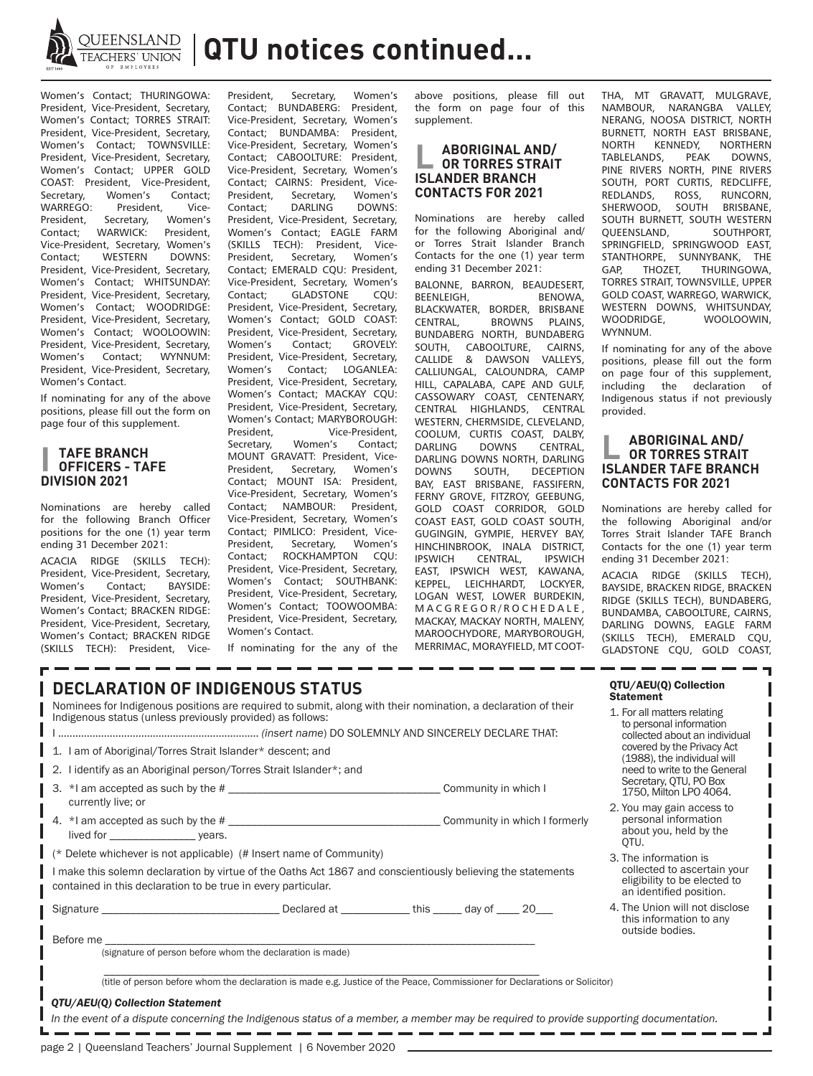

**QUEENSLAND | QTU notices continued...** 

Women's Contact; THURINGOWA: President, Vice-President, Secretary, Women's Contact; TORRES STRAIT: President, Vice-President, Secretary, Women's Contact; TOWNSVILLE: President, Vice-President, Secretary, Women's Contact; UPPER GOLD COAST: President, Vice-President, Secretary,<br>WARREGO: President, Vice-<br>
cretary. Women's President, Secretary,<br>Contact: WARWICK: WARWICK: President, Vice-President, Secretary, Women's<br>Contact: WESTERN DOWNS: Contact; WESTERN President, Vice-President, Secretary, Women's Contact; WHITSUNDAY: President, Vice-President, Secretary, Women's Contact; WOODRIDGE: President, Vice-President, Secretary, Women's Contact; WOOLOOWIN: President, Vice-President, Secretary, Women's Contact; WYNNUM: President, Vice-President, Secretary, Women's Contact.

If nominating for any of the above positions, please fill out the form on page four of this supplement.

### **I TAFE BRANCH OFFICERS - TAFE DIVISION 2021**

Nominations are hereby called for the following Branch Officer positions for the one (1) year term ending 31 December 2021:

ACACIA RIDGE (SKILLS TECH): President, Vice-President, Secretary, Women's Contact; BAYSIDE: President, Vice-President, Secretary, Women's Contact; BRACKEN RIDGE: President, Vice-President, Secretary, Women's Contact; BRACKEN RIDGE (SKILLS TECH): President, Vice-

President, Secretary, Women's<br>Contact: BUNDARERG: President Contact; BUNDABERG: Vice-President, Secretary, Women's Contact; BUNDAMBA: President, Vice-President, Secretary, Women's Contact; CABOOLTURE: President, Vice-President, Secretary, Women's Contact; CAIRNS: President, Vice-<br>President, Secretary, Women's President, Secretary, Women's<br>Contact; DARLING DOWNS: DARLING President, Vice-President, Secretary, Women's Contact; EAGLE FARM (SKILLS TECH): President, Vice-<br>President, Secretary, Women's Secretary, Women's Contact; EMERALD CQU: President, Vice-President, Secretary, Women's<br>Contact: GLADSTONE COU: GLADSTONE President, Vice-President, Secretary, Women's Contact; GOLD COAST: President, Vice-President, Secretary,<br>Women's Contact: GROVELY Contact: President, Vice-President, Secretary, Women's Contact; LOGANLEA: President, Vice-President, Secretary, Women's Contact; MACKAY CQU: President, Vice-President, Secretary, Women's Contact; MARYBOROUGH: President,<br>
Secretary, Women's Contact; Women's MOUNT GRAVATT: President, Vice-<br>President. Secretary. Women's Secretary, Contact; MOUNT ISA: President, Vice-President, Secretary, Women's Contact; NAMBOUR: President, Vice-President, Secretary, Women's Contact; PIMLICO: President, Vice-President, Secretary, Women's Contact; ROCKHAMPTON CQU: President, Vice-President, Secretary, Women's Contact; SOUTHBANK: President, Vice-President, Secretary, Women's Contact; TOOWOOMBA: President, Vice-President, Secretary, Women's Contact.

above positions, please fill out the form on page four of this supplement.

#### **L ABORIGINAL AND/ OR TORRES STRAIT ISLANDER BRANCH CONTACTS FOR 2021**

Nominations are hereby called for the following Aboriginal and/ or Torres Strait Islander Branch Contacts for the one (1) year term ending 31 December 2021:

BALONNE, BARRON, BEAUDESERT,<br>BEENLEIGH, BENOWA, BEENLEIGH, BLACKWATER, BORDER, BRISBANE<br>CENTRAL. BROWNS PLAINS. **BROWNS** BUNDABERG NORTH, BUNDABERG<br>SOUTH, CABOOLTURE, CAIRNS, SOUTH, CABOOLTURE, CALLIDE & DAWSON VALLEYS, CALLIUNGAL, CALOUNDRA, CAMP HILL, CAPALABA, CAPE AND GULF, CASSOWARY COAST, CENTENARY, CENTRAL HIGHLANDS, CENTRAL WESTERN, CHERMSIDE, CLEVELAND, COOLUM, CURTIS COAST, DALBY, DARLING DOWNS CENTRAL, DARLING DOWNS NORTH, DARLING DOWNS SOUTH, DECEPTION BAY, EAST BRISBANE, FASSIFERN, FERNY GROVE, FITZROY, GEEBUNG, GOLD COAST CORRIDOR, GOLD COAST EAST, GOLD COAST SOUTH, GUGINGIN, GYMPIE, HERVEY BAY, HINCHINBROOK, INALA DISTRICT, IPSWICH CENTRAL, IPSWICH EAST, IPSWICH WEST, KAWANA, KEPPEL, LEICHHARDT, LOCKYER, LOGAN WEST, LOWER BURDEKIN, M A C G R E G O R / R O C H E D A L E , MACKAY, MACKAY NORTH, MALENY, MAROOCHYDORE, MARYBOROUGH, MERRIMAC, MORAYFIELD, MT COOT-

THA, MT GRAVATT, MULGRAVE,<br>NAMBOUR, NARANGBA VALLEY, NARANGBA VALLEY, NERANG, NOOSA DISTRICT, NORTH **BURNETT, NORTH EAST BRISBANE,<br>NORTH KENNEDY NORTHERN** KENNEDY, NORTHERN<br>IDS, PEAK DOWNS, TABLELANDS, PINE RIVERS NORTH, PINE RIVERS SOUTH, PORT CURTIS, REDCLIFFE,<br>REDLANDS ROSS RUNCORN REDLANDS, ROSS, RUNCORN, SHERWOOD, SOUTH BRISBANE, SOUTH BURNETT, SOUTH WESTERN<br>QUEENSLAND, SOUTHPORT, QUEENSLAND, SPRINGFIELD, SPRINGWOOD EAST, STANTHORPE, SUNNYBANK, THE GAP, THOZET, THURINGOWA, TORRES STRAIT, TOWNSVILLE, UPPER GOLD COAST, WARREGO, WARWICK, WESTERN DOWNS, WHITSUNDAY,<br>WOODRIDGE, WOOLOOWIN, WOOLOOWIN, WYNNUM.

If nominating for any of the above positions, please fill out the form on page four of this supplement, including the declaration of Indigenous status if not previously provided.

#### **L ABORIGINAL AND/ OR TORRES STRAIT ISLANDER TAFE BRANCH CONTACTS FOR 2021**

Nominations are hereby called for the following Aboriginal and/or Torres Strait Islander TAFE Branch Contacts for the one (1) year term ending 31 December 2021:

ACACIA RIDGE (SKILLS TECH), BAYSIDE, BRACKEN RIDGE, BRACKEN RIDGE (SKILLS TECH), BUNDABERG, BUNDAMBA, CABOOLTURE, CAIRNS, DARLING DOWNS, EAGLE FARM (SKILLS TECH), EMERALD CQU, GLADSTONE CQU, GOLD COAST,

If nominating for the any of the

| <b>DECLARATION OF INDIGENOUS STATUS</b><br>Nominees for Indigenous positions are required to submit, along with their nomination, a declaration of their                     |                                                                                                                                                      | QTU/AEU(Q) Collection<br><b>Statement</b>                                    |  |  |
|------------------------------------------------------------------------------------------------------------------------------------------------------------------------------|------------------------------------------------------------------------------------------------------------------------------------------------------|------------------------------------------------------------------------------|--|--|
| Indigenous status (unless previously provided) as follows:                                                                                                                   | 1. For all matters relating<br>to personal information<br>collected about an individual<br>covered by the Privacy Act<br>(1988), the individual will |                                                                              |  |  |
|                                                                                                                                                                              |                                                                                                                                                      |                                                                              |  |  |
| 1. I am of Aboriginal/Torres Strait Islander* descent; and                                                                                                                   |                                                                                                                                                      |                                                                              |  |  |
| I identify as an Aboriginal person/Torres Strait Islander*; and<br>-2.                                                                                                       |                                                                                                                                                      | need to write to the General                                                 |  |  |
| 3.                                                                                                                                                                           |                                                                                                                                                      | Secretary, QTU, PO Box<br>1750, Milton LPO 4064.                             |  |  |
| currently live; or                                                                                                                                                           |                                                                                                                                                      | 2. You may gain access to                                                    |  |  |
|                                                                                                                                                                              |                                                                                                                                                      | personal information<br>about you, held by the<br>OTU.                       |  |  |
| $\vert$ (* Delete whichever is not applicable) (# Insert name of Community)                                                                                                  | 3. The information is<br>collected to ascertain your<br>eligibility to be elected to<br>an identified position.                                      |                                                                              |  |  |
| I make this solemn declaration by virtue of the Oaths Act 1867 and conscientiously believing the statements<br>contained in this declaration to be true in every particular. |                                                                                                                                                      |                                                                              |  |  |
|                                                                                                                                                                              |                                                                                                                                                      | 4. The Union will not disclose<br>this information to any<br>outside bodies. |  |  |
| (signature of person before whom the declaration is made)                                                                                                                    |                                                                                                                                                      |                                                                              |  |  |
|                                                                                                                                                                              |                                                                                                                                                      |                                                                              |  |  |
| (title of person before whom the declaration is made e.g. Justice of the Peace, Commissioner for Declarations or Solicitor)                                                  |                                                                                                                                                      |                                                                              |  |  |
|                                                                                                                                                                              |                                                                                                                                                      |                                                                              |  |  |

- - -

 $\overline{a}$ 

والمساح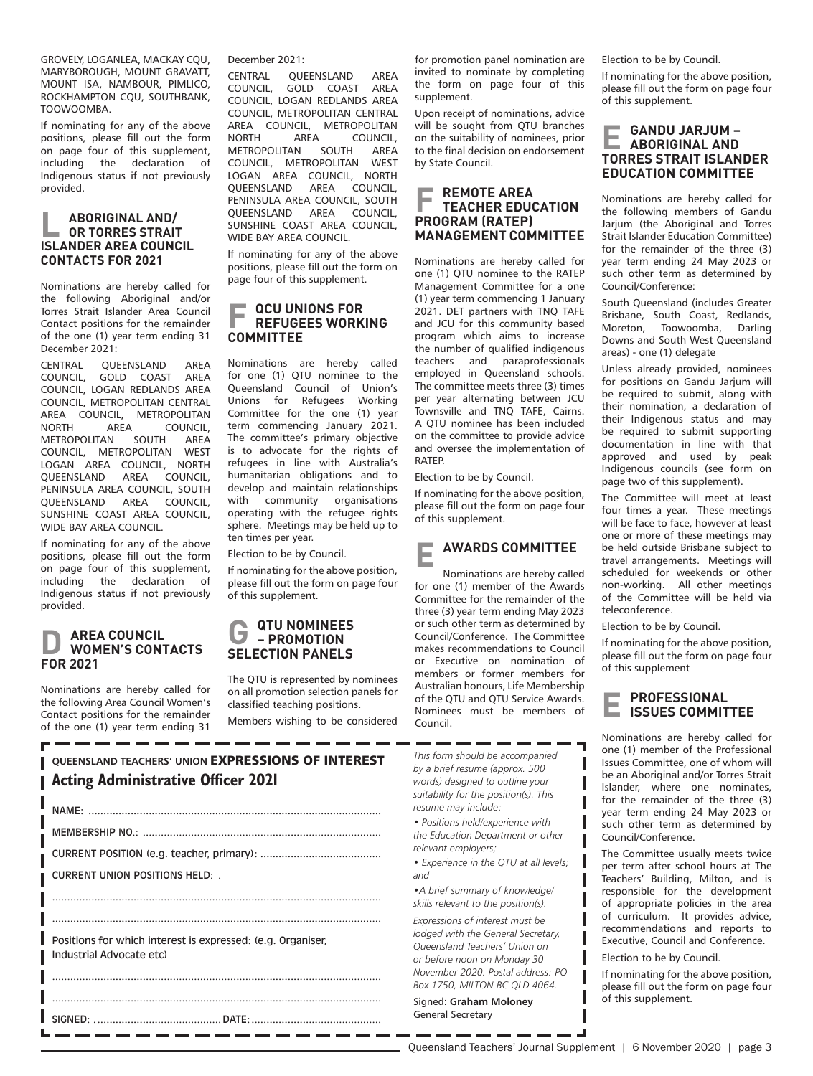GROVELY, LOGANLEA, MACKAY CQU, MARYBOROUGH, MOUNT GRAVATT, MOUNT ISA, NAMBOUR, PIMLICO, ROCKHAMPTON CQU, SOUTHBANK, TOOWOOMBA.

If nominating for any of the above positions, please fill out the form on page four of this supplement, including the declaration of Indigenous status if not previously provided.

### **L ABORIGINAL AND/ OR TORRES STRAIT ISLANDER AREA COUNCIL CONTACTS FOR 2021**

Nominations are hereby called for the following Aboriginal and/or Torres Strait Islander Area Council Contact positions for the remainder of the one (1) year term ending 31 December 2021:

CENTRAL QUEENSLAND AREA COUNCIL, GOLD COAST AREA COUNCIL, LOGAN REDLANDS AREA COUNCIL, METROPOLITAN CENTRAL AREA COUNCIL, METROPOLITAN<br>NORTH AREA COUNCIL, NORTH AREA COUNCIL,<br>METROPOLITAN SOUTH AREA **METROPOLITAN** COUNCIL, METROPOLITAN WEST LOGAN AREA COUNCIL, NORTH QUEENSLAND AREA COUNCIL, PENINSULA AREA COUNCIL, SOUTH QUEENSLAND AREA COUNCIL, SUNSHINE COAST AREA COUNCIL, WIDE BAY AREA COUNCIL.

If nominating for any of the above positions, please fill out the form on page four of this supplement,<br>including the declaration of including the declaration Indigenous status if not previously provided.

### **D AREA COUNCIL WOMEN'S CONTACTS FOR 2021**

Nominations are hereby called for the following Area Council Women's Contact positions for the remainder of the one (1) year term ending 31 December 2021:

CENTRAL QUEENSLAND AREA<br>COUNCIL GOLD COAST AREA COUNCIL, GOLD COAST COUNCIL, LOGAN REDLANDS AREA COUNCIL, METROPOLITAN CENTRAL AREA COUNCIL, METROPOLITAN<br>NORTH AREA COUNCIL A COUNCIL<mark>,</mark><br>SOUTH AREA METROPOLITAN COUNCIL, METROPOLITAN WEST LOGAN AREA COUNCIL, NORTH<br>QUEENSLAND AREA COUNCIL, QUEENSLAND PENINSULA AREA COUNCIL, SOUTH QUEENSLAND AREA COUNCIL, SUNSHINE COAST AREA COUNCIL, WIDE BAY AREA COUNCIL.

If nominating for any of the above positions, please fill out the form on page four of this supplement.

### **F QCU UNIONS FOR REFUGEES WORKING COMMITTEE**

Nominations are hereby called for one (1) QTU nominee to the Queensland Council of Union's Unions for Refugees Working Committee for the one (1) year term commencing January 2021. The committee's primary objective is to advocate for the rights of refugees in line with Australia's humanitarian obligations and to develop and maintain relationships with community organisations operating with the refugee rights sphere. Meetings may be held up to ten times per year.

Election to be by Council.

If nominating for the above position, please fill out the form on page four of this supplement.

#### **G** QTU NOMINEES **– PROMOTION SELECTION PANELS**

The QTU is represented by nominees on all promotion selection panels for classified teaching positions.

Members wishing to be considered

| QUEENSLAND TEACHERS' UNION EXPRESSIONS OF INTEREST |  |  |  |
|----------------------------------------------------|--|--|--|
| <b>Acting Administrative Officer 2021</b>          |  |  |  |
|                                                    |  |  |  |

|                                                             | $I \vee A \vee I \vee I$      |  |
|-------------------------------------------------------------|-------------------------------|--|
|                                                             |                               |  |
|                                                             |                               |  |
|                                                             | CURRENT UNION POSITIONS HELD: |  |
|                                                             |                               |  |
|                                                             |                               |  |
| Positions for which interest is expressed: (e.g. Organiser. |                               |  |
|                                                             | Industrial Advocate etc)      |  |
|                                                             |                               |  |
|                                                             |                               |  |
|                                                             |                               |  |

for promotion panel nomination are invited to nominate by completing the form on page four of this supplement.

Upon receipt of nominations, advice will be sought from OTU branches on the suitability of nominees, prior to the final decision on endorsement by State Council.

### **F REMOTE AREA TEACHER EDUCATION PROGRAM (RATEP) MANAGEMENT COMMITTEE**

Nominations are hereby called for one (1) QTU nominee to the RATEP Management Committee for a one (1) year term commencing 1 January 2021. DET partners with TNQ TAFE and JCU for this community based program which aims to increase the number of qualified indigenous teachers and paraprofessionals employed in Queensland schools. The committee meets three (3) times per year alternating between JCU Townsville and TNQ TAFE, Cairns. A QTU nominee has been included on the committee to provide advice and oversee the implementation of RATEP.

Election to be by Council.

If nominating for the above position, please fill out the form on page four of this supplement.

## **E AWARDS COMMITTEE**

Nominations are hereby called for one (1) member of the Awards Committee for the remainder of the three (3) year term ending May 2023 or such other term as determined by Council/Conference. The Committee makes recommendations to Council or Executive on nomination of members or former members for Australian honours, Life Membership of the QTU and QTU Service Awards. Nominees must be members of Council.

*This form should be accompanied by a brief resume (approx. 500 words) designed to outline your suitability for the position(s). This resume may include:*

*• Positions held/experience with the Education Department or other relevant employers;*

*• Experience in the QTU at all levels; and*

*•A brief summary of knowledge/ skills relevant to the position(s).*

*Expressions of interest must be lodged with the General Secretary, Queensland Teachers' Union on or before noon on Monday 30 November 2020. Postal address: PO Box 1750, MILTON BC QLD 4064.*

Signed: **Graham Moloney** General Secretary

Election to be by Council.

If nominating for the above position, please fill out the form on page four of this supplement.

#### **E GANDU JARJUM – ABORIGINAL AND TORRES STRAIT ISLANDER EDUCATION COMMITTEE**

Nominations are hereby called for the following members of Gandu Jarium (the Aboriginal and Torres Strait Islander Education Committee) for the remainder of the three (3) year term ending 24 May 2023 or such other term as determined by Council/Conference:

South Queensland (includes Greater Brisbane, South Coast, Redlands, Moreton, Toowoomba, Darling Downs and South West Queensland areas) - one (1) delegate

Unless already provided, nominees for positions on Gandu Jarjum will be required to submit, along with their nomination, a declaration of their Indigenous status and may be required to submit supporting documentation in line with that approved and used by peak Indigenous councils (see form on page two of this supplement).

The Committee will meet at least four times a year. These meetings will be face to face, however at least one or more of these meetings may be held outside Brisbane subject to travel arrangements. Meetings will scheduled for weekends or other non-working. All other meetings of the Committee will be held via teleconference.

Election to be by Council.

If nominating for the above position, please fill out the form on page four of this supplement

# **E PROFESSIONAL ISSUES COMMITTEE**

Nominations are hereby called for one (1) member of the Professional Issues Committee, one of whom will be an Aboriginal and/or Torres Strait Islander, where one nominates, for the remainder of the three (3) year term ending 24 May 2023 or such other term as determined by Council/Conference.

The Committee usually meets twice per term after school hours at The Teachers' Building, Milton, and is responsible for the development of appropriate policies in the area of curriculum. It provides advice, recommendations and reports to Executive, Council and Conference.

Election to be by Council.

If nominating for the above position, please fill out the form on page four of this supplement.

I